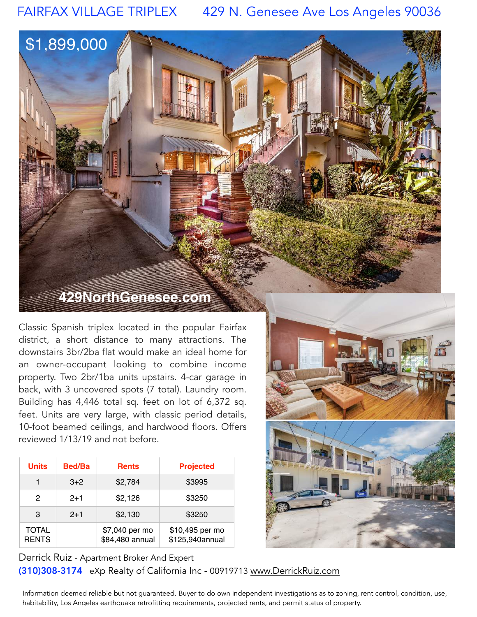FAIRFAX VILLAGE TRIPLEX 429 N. Genesee Ave Los Angeles 90036

## **429NorthGenesee.com**

\$1,899,000

Classic Spanish triplex located in the popular Fairfax district, a short distance to many attractions. The downstairs 3br/2ba flat would make an ideal home for an owner-occupant looking to combine income property. Two 2br/1ba units upstairs. 4-car garage in back, with 3 uncovered spots (7 total). Laundry room. Building has 4,446 total sq. feet on lot of 6,372 sq. feet. Units are very large, with classic period details, 10-foot beamed ceilings, and hardwood floors. Offers reviewed 1/13/19 and not before.

| <b>Units</b>                 | <b>Bed/Ba</b> | <b>Rents</b>                      | <b>Projected</b>                   |
|------------------------------|---------------|-----------------------------------|------------------------------------|
| 1                            | $3+2$         | \$2,784                           | \$3995                             |
| 2                            | $2+1$         | \$2,126                           | \$3250                             |
| 3                            | $2+1$         | \$2,130                           | \$3250                             |
| <b>TOTAL</b><br><b>RENTS</b> |               | \$7,040 per mo<br>\$84,480 annual | \$10,495 per mo<br>\$125,940annual |





Derrick Ruiz - Apartment Broker And Expert

(310)308-3174 eXp Realty of California Inc - 00919713 [www.DerrickRuiz.com](http://www.DerrickRuiz.com)

Information deemed reliable but not guaranteed. Buyer to do own independent investigations as to zoning, rent control, condition, use, habitability, Los Angeles earthquake retrofitting requirements, projected rents, and permit status of property.